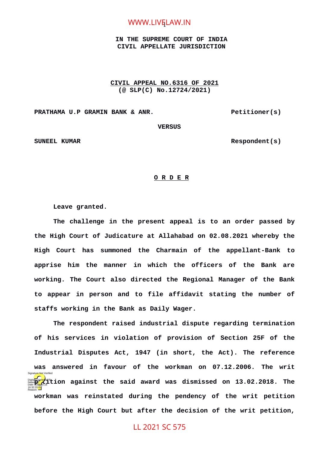# WWW.LIV<mark>Ę</mark>LAW.IN

### **IN THE SUPREME COURT OF INDIA CIVIL APPELLATE JURISDICTION**

### **CIVIL APPEAL NO.6316 OF 2021 (@ SLP(C) No.12724/2021)**

**PRATHAMA U.P GRAMIN BANK & ANR.** PRATHAMA U.P GRAMIN BANK & ANR.

 **VERSUS**

SUNEEL KUMAR Respondent (s)

### **O R D E R**

**Leave granted.** 

**The challenge in the present appeal is to an order passed by the High Court of Judicature at Allahabad on 02.08.2021 whereby the High Court has summoned the Charmain of the appellant-Bank to apprise him the manner in which the officers of the Bank are working. The Court also directed the Regional Manager of the Bank to appear in person and to file affidavit stating the number of staffs working in the Bank as Daily Wager.** 

**The respondent raised industrial dispute regarding termination of his services in violation of provision of Section 25F of the Industrial Disputes Act, 1947 (in short, the Act). The reference was answered in favour of the workman on 07.12.2006. The writ Digitally signed against the said award was dismissed on 13.02.2018. The workman was reinstated during the pendency of the writ petition before the High Court but after the decision of the writ petition,** 16:32:20 IST Reason: Signature Not Verified

## LL 2021 SC 575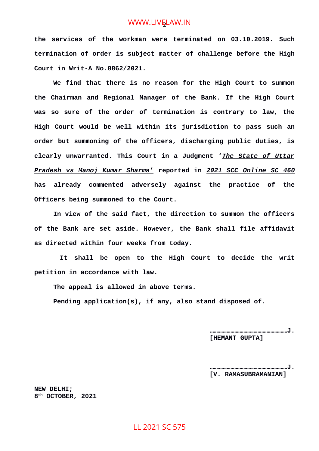# WWW.LIVELAW.IN

**the services of the workman were terminated on 03.10.2019. Such termination of order is subject matter of challenge before the High Court in Writ-A No.8862/2021.** 

**We find that there is no reason for the High Court to summon the Chairman and Regional Manager of the Bank. If the High Court was so sure of the order of termination is contrary to law, the High Court would be well within its jurisdiction to pass such an order but summoning of the officers, discharging public duties, is clearly unwarranted. This Court in a Judgment '***The State of Uttar Pradesh vs Manoj Kumar Sharm***a' reported in** *2021 SCC Online SC 460* **has already commented adversely against the practice of the Officers being summoned to the Court.** 

**In view of the said fact, the direction to summon the officers of the Bank are set aside. However, the Bank shall file affidavit as directed within four weeks from today.**

 **It shall be open to the High Court to decide the writ petition in accordance with law.**

**The appeal is allowed in above terms.** 

**Pending application(s), if any, also stand disposed of.** 

 **……………………………………………………J. [HEMANT GUPTA]**

**……………………………………………………J. [V. RAMASUBRAMANIAN]**

**NEW DELHI; 8 th OCTOBER, 2021**